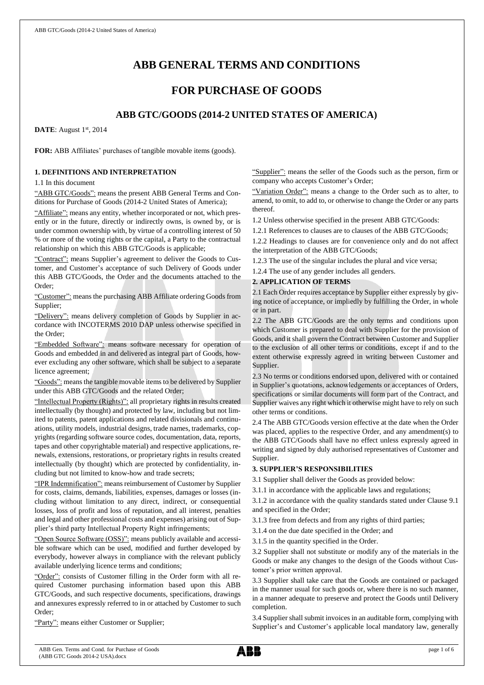# **ABB GENERAL TERMS AND CONDITIONS**

## **FOR PURCHASE OF GOODS**

## **ABB GTC/GOODS (2014-2 UNITED STATES OF AMERICA)**

**DATE**: August 1<sup>st</sup>, 2014

**FOR:** ABB Affiliates' purchases of tangible movable items (goods).

## **1. DEFINITIONS AND INTERPRETATION**

1.1 In this document

"ABB GTC/Goods": means the present ABB General Terms and Conditions for Purchase of Goods (2014-2 United States of America);

"Affiliate": means any entity, whether incorporated or not, which presently or in the future, directly or indirectly owns, is owned by, or is under common ownership with, by virtue of a controlling interest of 50 % or more of the voting rights or the capital, a Party to the contractual relationship on which this ABB GTC/Goods is applicable;

"Contract": means Supplier's agreement to deliver the Goods to Customer, and Customer's acceptance of such Delivery of Goods under this ABB GTC/Goods, the Order and the documents attached to the Order;

"Customer": means the purchasing ABB Affiliate ordering Goods from Supplier;

"Delivery": means delivery completion of Goods by Supplier in accordance with INCOTERMS 2010 DAP unless otherwise specified in the Order;

"Embedded Software": means software necessary for operation of Goods and embedded in and delivered as integral part of Goods, however excluding any other software, which shall be subject to a separate licence agreement;

"Goods": means the tangible movable items to be delivered by Supplier under this ABB GTC/Goods and the related Order;

"Intellectual Property (Rights)": all proprietary rights in results created intellectually (by thought) and protected by law, including but not limited to patents, patent applications and related divisionals and continuations, utility models, industrial designs, trade names, trademarks, copyrights (regarding software source codes, documentation, data, reports, tapes and other copyrightable material) and respective applications, renewals, extensions, restorations, or proprietary rights in results created intellectually (by thought) which are protected by confidentiality, including but not limited to know-how and trade secrets;

"IPR Indemnification": means reimbursement of Customer by Supplier for costs, claims, demands, liabilities, expenses, damages or losses (including without limitation to any direct, indirect, or consequential losses, loss of profit and loss of reputation, and all interest, penalties and legal and other professional costs and expenses) arising out of Supplier's third party Intellectual Property Right infringements;

"Open Source Software (OSS)": means publicly available and accessible software which can be used, modified and further developed by everybody, however always in compliance with the relevant publicly available underlying licence terms and conditions;

"Order": consists of Customer filling in the Order form with all required Customer purchasing information based upon this ABB GTC/Goods, and such respective documents, specifications, drawings and annexures expressly referred to in or attached by Customer to such Order;

"Party": means either Customer or Supplier;

"Supplier": means the seller of the Goods such as the person, firm or company who accepts Customer's Order;

"Variation Order": means a change to the Order such as to alter, to amend, to omit, to add to, or otherwise to change the Order or any parts thereof.

1.2 Unless otherwise specified in the present ABB GTC/Goods:

1.2.1 References to clauses are to clauses of the ABB GTC/Goods;

1.2.2 Headings to clauses are for convenience only and do not affect the interpretation of the ABB GTC/Goods;

1.2.3 The use of the singular includes the plural and vice versa;

1.2.4 The use of any gender includes all genders.

## **2. APPLICATION OF TERMS**

2.1 Each Order requires acceptance by Supplier either expressly by giving notice of acceptance, or impliedly by fulfilling the Order, in whole or in part.

2.2 The ABB GTC/Goods are the only terms and conditions upon which Customer is prepared to deal with Supplier for the provision of Goods, and it shall govern the Contract between Customer and Supplier to the exclusion of all other terms or conditions, except if and to the extent otherwise expressly agreed in writing between Customer and Supplier.

2.3 No terms or conditions endorsed upon, delivered with or contained in Supplier's quotations, acknowledgements or acceptances of Orders, specifications or similar documents will form part of the Contract, and Supplier waives any right which it otherwise might have to rely on such other terms or conditions.

2.4 The ABB GTC/Goods version effective at the date when the Order was placed, applies to the respective Order, and any amendment(s) to the ABB GTC/Goods shall have no effect unless expressly agreed in writing and signed by duly authorised representatives of Customer and Supplier.

## **3. SUPPLIER'S RESPONSIBILITIES**

3.1 Supplier shall deliver the Goods as provided below:

3.1.1 in accordance with the applicable laws and regulations;

3.1.2 in accordance with the quality standards stated under Clause 9.1 and specified in the Order;

3.1.3 free from defects and from any rights of third parties;

3.1.4 on the due date specified in the Order; and

3.1.5 in the quantity specified in the Order.

3.2 Supplier shall not substitute or modify any of the materials in the Goods or make any changes to the design of the Goods without Customer's prior written approval.

3.3 Supplier shall take care that the Goods are contained or packaged in the manner usual for such goods or, where there is no such manner, in a manner adequate to preserve and protect the Goods until Delivery completion.

3.4 Supplier shall submit invoices in an auditable form, complying with Supplier's and Customer's applicable local mandatory law, generally

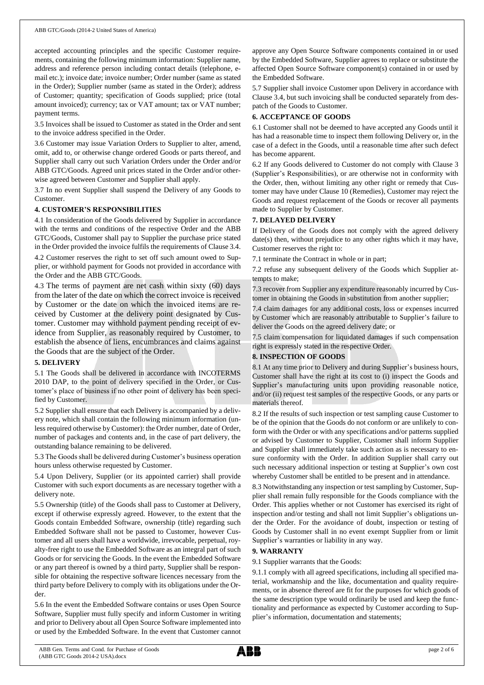accepted accounting principles and the specific Customer requirements, containing the following minimum information: Supplier name, address and reference person including contact details (telephone, email etc.); invoice date; invoice number; Order number (same as stated in the Order); Supplier number (same as stated in the Order); address of Customer; quantity; specification of Goods supplied; price (total amount invoiced); currency; tax or VAT amount; tax or VAT number; payment terms.

3.5 Invoices shall be issued to Customer as stated in the Order and sent to the invoice address specified in the Order.

3.6 Customer may issue Variation Orders to Supplier to alter, amend, omit, add to, or otherwise change ordered Goods or parts thereof, and Supplier shall carry out such Variation Orders under the Order and/or ABB GTC/Goods. Agreed unit prices stated in the Order and/or otherwise agreed between Customer and Supplier shall apply.

3.7 In no event Supplier shall suspend the Delivery of any Goods to Customer.

## **4. CUSTOMER'S RESPONSIBILITIES**

4.1 In consideration of the Goods delivered by Supplier in accordance with the terms and conditions of the respective Order and the ABB GTC/Goods, Customer shall pay to Supplier the purchase price stated in the Order provided the invoice fulfils the requirements of Clause 3.4.

4.2 Customer reserves the right to set off such amount owed to Supplier, or withhold payment for Goods not provided in accordance with the Order and the ABB GTC/Goods.

4.3 The terms of payment are net cash within sixty (60) days from the later of the date on which the correct invoice is received by Customer or the date on which the invoiced items are received by Customer at the delivery point designated by Customer. Customer may withhold payment pending receipt of evidence from Supplier, as reasonably required by Customer, to establish the absence of liens, encumbrances and claims against the Goods that are the subject of the Order.

#### **5. DELIVERY**

5.1 The Goods shall be delivered in accordance with INCOTERMS 2010 DAP, to the point of delivery specified in the Order, or Customer's place of business if no other point of delivery has been specified by Customer.

5.2 Supplier shall ensure that each Delivery is accompanied by a delivery note, which shall contain the following minimum information (unless required otherwise by Customer): the Order number, date of Order, number of packages and contents and, in the case of part delivery, the outstanding balance remaining to be delivered.

5.3 The Goods shall be delivered during Customer's business operation hours unless otherwise requested by Customer.

5.4 Upon Delivery, Supplier (or its appointed carrier) shall provide Customer with such export documents as are necessary together with a delivery note.

5.5 Ownership (title) of the Goods shall pass to Customer at Delivery, except if otherwise expressly agreed. However, to the extent that the Goods contain Embedded Software, ownership (title) regarding such Embedded Software shall not be passed to Customer, however Customer and all users shall have a worldwide, irrevocable, perpetual, royalty-free right to use the Embedded Software as an integral part of such Goods or for servicing the Goods. In the event the Embedded Software or any part thereof is owned by a third party, Supplier shall be responsible for obtaining the respective software licences necessary from the third party before Delivery to comply with its obligations under the Order.

5.6 In the event the Embedded Software contains or uses Open Source Software, Supplier must fully specify and inform Customer in writing and prior to Delivery about all Open Source Software implemented into or used by the Embedded Software. In the event that Customer cannot approve any Open Source Software components contained in or used by the Embedded Software, Supplier agrees to replace or substitute the affected Open Source Software component(s) contained in or used by the Embedded Software.

5.7 Supplier shall invoice Customer upon Delivery in accordance with Clause 3.4, but such invoicing shall be conducted separately from despatch of the Goods to Customer.

## **6. ACCEPTANCE OF GOODS**

6.1 Customer shall not be deemed to have accepted any Goods until it has had a reasonable time to inspect them following Delivery or, in the case of a defect in the Goods, until a reasonable time after such defect has become apparent.

6.2 If any Goods delivered to Customer do not comply with Clause 3 (Supplier's Responsibilities), or are otherwise not in conformity with the Order, then, without limiting any other right or remedy that Customer may have under Clause 10 (Remedies), Customer may reject the Goods and request replacement of the Goods or recover all payments made to Supplier by Customer.

## **7. DELAYED DELIVERY**

If Delivery of the Goods does not comply with the agreed delivery date(s) then, without prejudice to any other rights which it may have, Customer reserves the right to:

7.1 terminate the Contract in whole or in part;

7.2 refuse any subsequent delivery of the Goods which Supplier attempts to make;

7.3 recover from Supplier any expenditure reasonably incurred by Customer in obtaining the Goods in substitution from another supplier;

7.4 claim damages for any additional costs, loss or expenses incurred by Customer which are reasonably attributable to Supplier's failure to deliver the Goods on the agreed delivery date; or

7.5 claim compensation for liquidated damages if such compensation right is expressly stated in the respective Order.

## **8. INSPECTION OF GOODS**

8.1 At any time prior to Delivery and during Supplier's business hours, Customer shall have the right at its cost to (i) inspect the Goods and Supplier's manufacturing units upon providing reasonable notice, and/or (ii) request test samples of the respective Goods, or any parts or materials thereof.

8.2 If the results of such inspection or test sampling cause Customer to be of the opinion that the Goods do not conform or are unlikely to conform with the Order or with any specifications and/or patterns supplied or advised by Customer to Supplier, Customer shall inform Supplier and Supplier shall immediately take such action as is necessary to ensure conformity with the Order. In addition Supplier shall carry out such necessary additional inspection or testing at Supplier's own cost whereby Customer shall be entitled to be present and in attendance.

8.3 Notwithstanding any inspection or test sampling by Customer, Supplier shall remain fully responsible for the Goods compliance with the Order. This applies whether or not Customer has exercised its right of inspection and/or testing and shall not limit Supplier's obligations under the Order. For the avoidance of doubt, inspection or testing of Goods by Customer shall in no event exempt Supplier from or limit Supplier's warranties or liability in any way.

### **9. WARRANTY**

9.1 Supplier warrants that the Goods:

9.1.1 comply with all agreed specifications, including all specified material, workmanship and the like, documentation and quality requirements, or in absence thereof are fit for the purposes for which goods of the same description type would ordinarily be used and keep the functionality and performance as expected by Customer according to Supplier's information, documentation and statements;

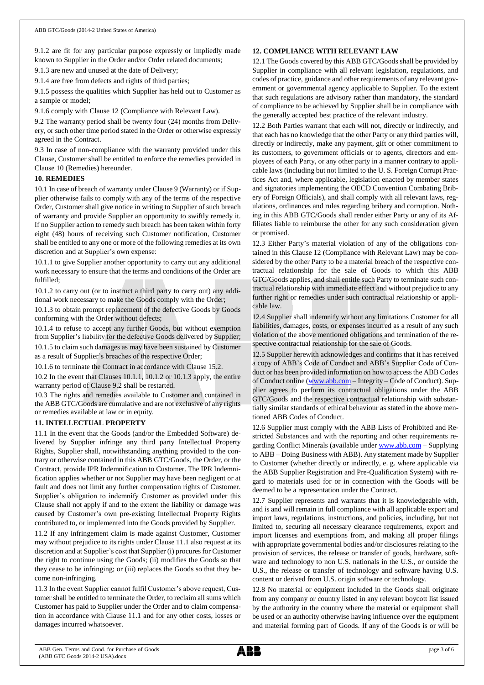9.1.2 are fit for any particular purpose expressly or impliedly made known to Supplier in the Order and/or Order related documents;

9.1.3 are new and unused at the date of Delivery;

9.1.4 are free from defects and rights of third parties;

9.1.5 possess the qualities which Supplier has held out to Customer as a sample or model;

9.1.6 comply with Clause 12 (Compliance with Relevant Law).

9.2 The warranty period shall be twenty four (24) months from Delivery, or such other time period stated in the Order or otherwise expressly agreed in the Contract.

9.3 In case of non-compliance with the warranty provided under this Clause, Customer shall be entitled to enforce the remedies provided in Clause 10 (Remedies) hereunder.

### **10. REMEDIES**

10.1 In case of breach of warranty under Clause 9 (Warranty) or if Supplier otherwise fails to comply with any of the terms of the respective Order, Customer shall give notice in writing to Supplier of such breach of warranty and provide Supplier an opportunity to swiftly remedy it. If no Supplier action to remedy such breach has been taken within forty eight (48) hours of receiving such Customer notification, Customer shall be entitled to any one or more of the following remedies at its own discretion and at Supplier's own expense:

10.1.1 to give Supplier another opportunity to carry out any additional work necessary to ensure that the terms and conditions of the Order are fulfilled;

10.1.2 to carry out (or to instruct a third party to carry out) any additional work necessary to make the Goods comply with the Order;

10.1.3 to obtain prompt replacement of the defective Goods by Goods conforming with the Order without defects;

10.1.4 to refuse to accept any further Goods, but without exemption from Supplier's liability for the defective Goods delivered by Supplier; 10.1.5 to claim such damages as may have been sustained by Customer

as a result of Supplier's breaches of the respective Order;

10.1.6 to terminate the Contract in accordance with Clause 15.2.

10.2 In the event that Clauses 10.1.1, 10.1.2 or 10.1.3 apply, the entire warranty period of Clause 9.2 shall be restarted.

10.3 The rights and remedies available to Customer and contained in the ABB GTC/Goods are cumulative and are not exclusive of any rights or remedies available at law or in equity.

### **11. INTELLECTUAL PROPERTY**

11.1 In the event that the Goods (and/or the Embedded Software) delivered by Supplier infringe any third party Intellectual Property Rights, Supplier shall, notwithstanding anything provided to the contrary or otherwise contained in this ABB GTC/Goods, the Order, or the Contract, provide IPR Indemnification to Customer. The IPR Indemnification applies whether or not Supplier may have been negligent or at fault and does not limit any further compensation rights of Customer. Supplier's obligation to indemnify Customer as provided under this Clause shall not apply if and to the extent the liability or damage was caused by Customer's own pre-existing Intellectual Property Rights contributed to, or implemented into the Goods provided by Supplier.

11.2 If any infringement claim is made against Customer, Customer may without prejudice to its rights under Clause 11.1 also request at its discretion and at Supplier's cost that Supplier (i) procures for Customer the right to continue using the Goods; (ii) modifies the Goods so that they cease to be infringing; or (iii) replaces the Goods so that they become non-infringing.

11.3 In the event Supplier cannot fulfil Customer's above request, Customer shall be entitled to terminate the Order, to reclaim all sums which Customer has paid to Supplier under the Order and to claim compensation in accordance with Clause 11.1 and for any other costs, losses or damages incurred whatsoever.

## **12. COMPLIANCE WITH RELEVANT LAW**

12.1 The Goods covered by this ABB GTC/Goods shall be provided by Supplier in compliance with all relevant legislation, regulations, and codes of practice, guidance and other requirements of any relevant government or governmental agency applicable to Supplier. To the extent that such regulations are advisory rather than mandatory, the standard of compliance to be achieved by Supplier shall be in compliance with the generally accepted best practice of the relevant industry.

12.2 Both Parties warrant that each will not, directly or indirectly, and that each has no knowledge that the other Party or any third parties will, directly or indirectly, make any payment, gift or other commitment to its customers, to government officials or to agents, directors and employees of each Party, or any other party in a manner contrary to applicable laws (including but not limited to the U. S. Foreign Corrupt Practices Act and, where applicable, legislation enacted by member states and signatories implementing the OECD Convention Combating Bribery of Foreign Officials), and shall comply with all relevant laws, regulations, ordinances and rules regarding bribery and corruption. Nothing in this ABB GTC/Goods shall render either Party or any of its Affiliates liable to reimburse the other for any such consideration given or promised.

12.3 Either Party's material violation of any of the obligations contained in this Clause 12 (Compliance with Relevant Law) may be considered by the other Party to be a material breach of the respective contractual relationship for the sale of Goods to which this ABB GTC/Goods applies, and shall entitle such Party to terminate such contractual relationship with immediate effect and without prejudice to any further right or remedies under such contractual relationship or applicable law.

12.4 Supplier shall indemnify without any limitations Customer for all liabilities, damages, costs, or expenses incurred as a result of any such violation of the above mentioned obligations and termination of the respective contractual relationship for the sale of Goods.

12.5 Supplier herewith acknowledges and confirms that it has received a copy of ABB's Code of Conduct and ABB's Supplier Code of Conduct or has been provided information on how to access the ABB Codes of Conduct online [\(www.abb.com](http://www.abb.com/) – Integrity – Code of Conduct). Supplier agrees to perform its contractual obligations under the ABB GTC/Goods and the respective contractual relationship with substantially similar standards of ethical behaviour as stated in the above mentioned ABB Codes of Conduct.

12.6 Supplier must comply with the ABB Lists of Prohibited and Restricted Substances and with the reporting and other requirements regarding Conflict Minerals (available under [www.abb.com](http://www.abb.com/) – Supplying to ABB – Doing Business with ABB). Any statement made by Supplier to Customer (whether directly or indirectly, e. g. where applicable via the ABB Supplier Registration and Pre-Qualification System) with regard to materials used for or in connection with the Goods will be deemed to be a representation under the Contract.

12.7 Supplier represents and warrants that it is knowledgeable with, and is and will remain in full compliance with all applicable export and import laws, regulations, instructions, and policies, including, but not limited to, securing all necessary clearance requirements, export and import licenses and exemptions from, and making all proper filings with appropriate governmental bodies and/or disclosures relating to the provision of services, the release or transfer of goods, hardware, software and technology to non U.S. nationals in the U.S., or outside the U.S., the release or transfer of technology and software having U.S. content or derived from U.S. origin software or technology.

12.8 No material or equipment included in the Goods shall originate from any company or country listed in any relevant boycott list issued by the authority in the country where the material or equipment shall be used or an authority otherwise having influence over the equipment and material forming part of Goods. If any of the Goods is or will be

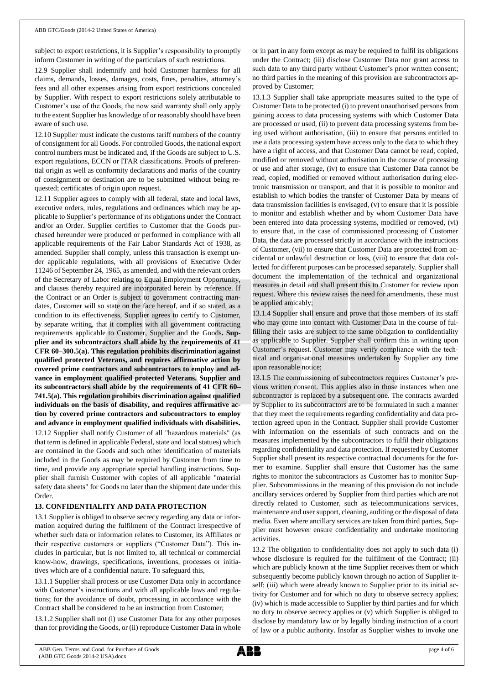subject to export restrictions, it is Supplier's responsibility to promptly inform Customer in writing of the particulars of such restrictions.

12.9 Supplier shall indemnify and hold Customer harmless for all claims, demands, losses, damages, costs, fines, penalties, attorney's fees and all other expenses arising from export restrictions concealed by Supplier. With respect to export restrictions solely attributable to Customer's use of the Goods, the now said warranty shall only apply to the extent Supplier has knowledge of or reasonably should have been aware of such use.

12.10 Supplier must indicate the customs tariff numbers of the country of consignment for all Goods. For controlled Goods, the national export control numbers must be indicated and, if the Goods are subject to U.S. export regulations, ECCN or ITAR classifications. Proofs of preferential origin as well as conformity declarations and marks of the country of consignment or destination are to be submitted without being requested; certificates of origin upon request.

12.11 Supplier agrees to comply with all federal, state and local laws, executive orders, rules, regulations and ordinances which may be applicable to Supplier's performance of its obligations under the Contract and/or an Order. Supplier certifies to Customer that the Goods purchased hereunder were produced or performed in compliance with all applicable requirements of the Fair Labor Standards Act of 1938, as amended. Supplier shall comply, unless this transaction is exempt under applicable regulations, with all provisions of Executive Order 11246 of September 24, 1965, as amended, and with the relevant orders of the Secretary of Labor relating to Equal Employment Opportunity, and clauses thereby required are incorporated herein by reference. If the Contract or an Order is subject to government contracting mandates, Customer will so state on the face hereof, and if so stated, as a condition to its effectiveness, Supplier agrees to certify to Customer, by separate writing, that it complies with all government contracting requirements applicable to Customer, Supplier and the Goods**. Supplier and its subcontractors shall abide by the requirements of 41 CFR 60–300.5(a). This regulation prohibits discrimination against qualified protected Veterans, and requires affirmative action by covered prime contractors and subcontractors to employ and advance in employment qualified protected Veterans. Supplier and its subcontractors shall abide by the requirements of 41 CFR 60– 741.5(a). This regulation prohibits discrimination against qualified individuals on the basis of disability, and requires affirmative action by covered prime contractors and subcontractors to employ and advance in employment qualified individuals with disabilities.** 12.12 Supplier shall notify Customer of all "hazardous materials" (as that term is defined in applicable Federal, state and local statues) which are contained in the Goods and such other identification of materials included in the Goods as may be required by Customer from time to time, and provide any appropriate special handling instructions. Supplier shall furnish Customer with copies of all applicable "material safety data sheets" for Goods no later than the shipment date under this

## **13. CONFIDENTIALITY AND DATA PROTECTION**

Order.

13.1 Supplier is obliged to observe secrecy regarding any data or information acquired during the fulfilment of the Contract irrespective of whether such data or information relates to Customer, its Affiliates or their respective customers or suppliers ("Customer Data"). This includes in particular, but is not limited to, all technical or commercial know-how, drawings, specifications, inventions, processes or initiatives which are of a confidential nature. To safeguard this,

13.1.1 Supplier shall process or use Customer Data only in accordance with Customer's instructions and with all applicable laws and regulations; for the avoidance of doubt, processing in accordance with the Contract shall be considered to be an instruction from Customer;

13.1.2 Supplier shall not (i) use Customer Data for any other purposes than for providing the Goods, or (ii) reproduce Customer Data in whole or in part in any form except as may be required to fulfil its obligations under the Contract; (iii) disclose Customer Data nor grant access to such data to any third party without Customer's prior written consent; no third parties in the meaning of this provision are subcontractors approved by Customer;

13.1.3 Supplier shall take appropriate measures suited to the type of Customer Data to be protected (i) to prevent unauthorised persons from gaining access to data processing systems with which Customer Data are processed or used, (ii) to prevent data processing systems from being used without authorisation, (iii) to ensure that persons entitled to use a data processing system have access only to the data to which they have a right of access, and that Customer Data cannot be read, copied, modified or removed without authorisation in the course of processing or use and after storage, (iv) to ensure that Customer Data cannot be read, copied, modified or removed without authorisation during electronic transmission or transport, and that it is possible to monitor and establish to which bodies the transfer of Customer Data by means of data transmission facilities is envisaged, (v) to ensure that it is possible to monitor and establish whether and by whom Customer Data have been entered into data processing systems, modified or removed, (vi) to ensure that, in the case of commissioned processing of Customer Data, the data are processed strictly in accordance with the instructions of Customer, (vii) to ensure that Customer Data are protected from accidental or unlawful destruction or loss, (viii) to ensure that data collected for different purposes can be processed separately. Supplier shall document the implementation of the technical and organizational measures in detail and shall present this to Customer for review upon request. Where this review raises the need for amendments, these must be applied amicably;

13.1.4 Supplier shall ensure and prove that those members of its staff who may come into contact with Customer Data in the course of fulfilling their tasks are subject to the same obligation to confidentiality as applicable to Supplier. Supplier shall confirm this in writing upon Customer's request. Customer may verify compliance with the technical and organisational measures undertaken by Supplier any time upon reasonable notice;

13.1.5 The commissioning of subcontractors requires Customer's previous written consent. This applies also in those instances when one subcontractor is replaced by a subsequent one. The contracts awarded by Supplier to its subcontractors are to be formulated in such a manner that they meet the requirements regarding confidentiality and data protection agreed upon in the Contract. Supplier shall provide Customer with information on the essentials of such contracts and on the measures implemented by the subcontractors to fulfil their obligations regarding confidentiality and data protection. If requested by Customer Supplier shall present its respective contractual documents for the former to examine. Supplier shall ensure that Customer has the same rights to monitor the subcontractors as Customer has to monitor Supplier. Subcommissions in the meaning of this provision do not include ancillary services ordered by Supplier from third parties which are not directly related to Customer, such as telecommunications services, maintenance and user support, cleaning, auditing or the disposal of data media. Even where ancillary services are taken from third parties, Supplier must however ensure confidentiality and undertake monitoring activities.

13.2 The obligation to confidentiality does not apply to such data (i) whose disclosure is required for the fulfilment of the Contract; (ii) which are publicly known at the time Supplier receives them or which subsequently become publicly known through no action of Supplier itself; (iii) which were already known to Supplier prior to its initial activity for Customer and for which no duty to observe secrecy applies; (iv) which is made accessible to Supplier by third parties and for which no duty to observe secrecy applies or (v) which Supplier is obliged to disclose by mandatory law or by legally binding instruction of a court of law or a public authority. Insofar as Supplier wishes to invoke one

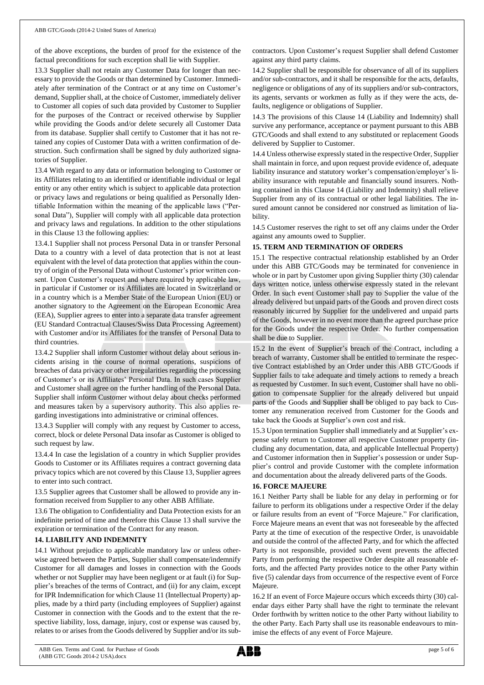of the above exceptions, the burden of proof for the existence of the factual preconditions for such exception shall lie with Supplier.

13.3 Supplier shall not retain any Customer Data for longer than necessary to provide the Goods or than determined by Customer. Immediately after termination of the Contract or at any time on Customer's demand, Supplier shall, at the choice of Customer, immediately deliver to Customer all copies of such data provided by Customer to Supplier for the purposes of the Contract or received otherwise by Supplier while providing the Goods and/or delete securely all Customer Data from its database. Supplier shall certify to Customer that it has not retained any copies of Customer Data with a written confirmation of destruction. Such confirmation shall be signed by duly authorized signatories of Supplier.

13.4 With regard to any data or information belonging to Customer or its Affiliates relating to an identified or identifiable individual or legal entity or any other entity which is subject to applicable data protection or privacy laws and regulations or being qualified as Personally Identifiable Information within the meaning of the applicable laws ("Personal Data"), Supplier will comply with all applicable data protection and privacy laws and regulations. In addition to the other stipulations in this Clause 13 the following applies:

13.4.1 Supplier shall not process Personal Data in or transfer Personal Data to a country with a level of data protection that is not at least equivalent with the level of data protection that applies within the country of origin of the Personal Data without Customer's prior written consent. Upon Customer's request and where required by applicable law, in particular if Customer or its Affiliates are located in Switzerland or in a country which is a Member State of the European Union (EU) or another signatory to the Agreement on the European Economic Area (EEA), Supplier agrees to enter into a separate data transfer agreement (EU Standard Contractual Clauses/Swiss Data Processing Agreement) with Customer and/or its Affiliates for the transfer of Personal Data to third countries.

13.4.2 Supplier shall inform Customer without delay about serious incidents arising in the course of normal operations, suspicions of breaches of data privacy or other irregularities regarding the processing of Customer's or its Affiliates' Personal Data. In such cases Supplier and Customer shall agree on the further handling of the Personal Data. Supplier shall inform Customer without delay about checks performed and measures taken by a supervisory authority. This also applies regarding investigations into administrative or criminal offences.

13.4.3 Supplier will comply with any request by Customer to access, correct, block or delete Personal Data insofar as Customer is obliged to such request by law.

13.4.4 In case the legislation of a country in which Supplier provides Goods to Customer or its Affiliates requires a contract governing data privacy topics which are not covered by this Clause 13, Supplier agrees to enter into such contract.

13.5 Supplier agrees that Customer shall be allowed to provide any information received from Supplier to any other ABB Affiliate.

13.6 The obligation to Confidentiality and Data Protection exists for an indefinite period of time and therefore this Clause 13 shall survive the expiration or termination of the Contract for any reason.

## **14. LIABILITY AND INDEMNITY**

14.1 Without prejudice to applicable mandatory law or unless otherwise agreed between the Parties, Supplier shall compensate/indemnify Customer for all damages and losses in connection with the Goods whether or not Supplier may have been negligent or at fault (i) for Supplier's breaches of the terms of Contract, and (ii) for any claim, except for IPR Indemnification for which Clause 11 (Intellectual Property) applies, made by a third party (including employees of Supplier) against Customer in connection with the Goods and to the extent that the respective liability, loss, damage, injury, cost or expense was caused by, relates to or arises from the Goods delivered by Supplier and/or its subcontractors. Upon Customer's request Supplier shall defend Customer against any third party claims.

14.2 Supplier shall be responsible for observance of all of its suppliers and/or sub-contractors, and it shall be responsible for the acts, defaults, negligence or obligations of any of its suppliers and/or sub-contractors, its agents, servants or workmen as fully as if they were the acts, defaults, negligence or obligations of Supplier.

14.3 The provisions of this Clause 14 (Liability and Indemnity) shall survive any performance, acceptance or payment pursuant to this ABB GTC/Goods and shall extend to any substituted or replacement Goods delivered by Supplier to Customer.

14.4 Unless otherwise expressly stated in the respective Order, Supplier shall maintain in force, and upon request provide evidence of, adequate liability insurance and statutory worker's compensation/employer's liability insurance with reputable and financially sound insurers. Nothing contained in this Clause 14 (Liability and Indemnity) shall relieve Supplier from any of its contractual or other legal liabilities. The insured amount cannot be considered nor construed as limitation of liability.

14.5 Customer reserves the right to set off any claims under the Order against any amounts owed to Supplier.

## **15. TERM AND TERMINATION OF ORDERS**

15.1 The respective contractual relationship established by an Order under this ABB GTC/Goods may be terminated for convenience in whole or in part by Customer upon giving Supplier thirty (30) calendar days written notice, unless otherwise expressly stated in the relevant Order. In such event Customer shall pay to Supplier the value of the already delivered but unpaid parts of the Goods and proven direct costs reasonably incurred by Supplier for the undelivered and unpaid parts of the Goods, however in no event more than the agreed purchase price for the Goods under the respective Order. No further compensation shall be due to Supplier.

15.2 In the event of Supplier's breach of the Contract, including a breach of warranty, Customer shall be entitled to terminate the respective Contract established by an Order under this ABB GTC/Goods if Supplier fails to take adequate and timely actions to remedy a breach as requested by Customer. In such event, Customer shall have no obligation to compensate Supplier for the already delivered but unpaid parts of the Goods and Supplier shall be obliged to pay back to Customer any remuneration received from Customer for the Goods and take back the Goods at Supplier's own cost and risk.

15.3 Upon termination Supplier shall immediately and at Supplier's expense safely return to Customer all respective Customer property (including any documentation, data, and applicable Intellectual Property) and Customer information then in Supplier's possession or under Supplier's control and provide Customer with the complete information and documentation about the already delivered parts of the Goods.

## **16. FORCE MAJEURE**

16.1 Neither Party shall be liable for any delay in performing or for failure to perform its obligations under a respective Order if the delay or failure results from an event of "Force Majeure." For clarification, Force Majeure means an event that was not foreseeable by the affected Party at the time of execution of the respective Order, is unavoidable and outside the control of the affected Party, and for which the affected Party is not responsible, provided such event prevents the affected Party from performing the respective Order despite all reasonable efforts, and the affected Party provides notice to the other Party within five (5) calendar days from occurrence of the respective event of Force Majeure.

16.2 If an event of Force Majeure occurs which exceeds thirty (30) calendar days either Party shall have the right to terminate the relevant Order forthwith by written notice to the other Party without liability to the other Party. Each Party shall use its reasonable endeavours to minimise the effects of any event of Force Majeure.